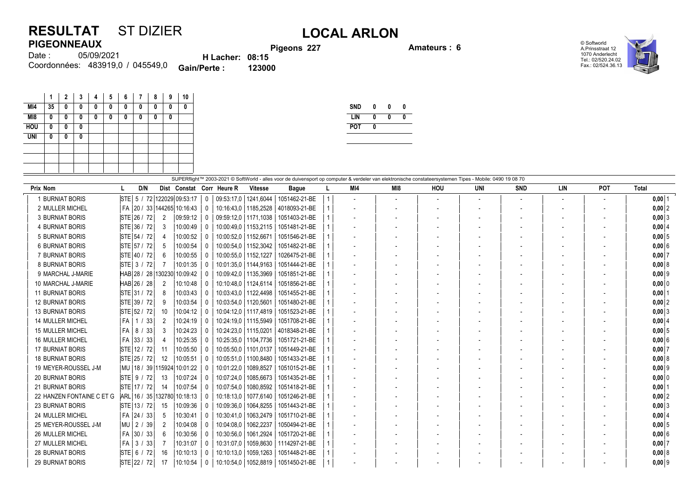## **RESULTAT** ST DIZIER **LOCAL ARLON PIGEONNEAUX**

**Pigeons 227 Amateurs : 6**

© Softworld A.Prinsstraat 12 1070 Anderlecht Tel.: 02/520.24.02 Fax.: 02/524.36.13



05/09/2021 483919,0 / 045549,0 Coordonnées: **Gain/Perte : 123000** Date : **H Lacher: 08:15**

|            | 1  | $\overline{2}$ | 3 | 4 | 5 | 6 | 7 | 8 | 9 | 10 |
|------------|----|----------------|---|---|---|---|---|---|---|----|
| MI4        | 35 | 0              | 0 | 0 | 0 | 0 | 0 | 0 | 0 | 0  |
| M18        | 0  | 0              | 0 | 0 | 0 | 0 | 0 | 0 | 0 |    |
| <b>HOU</b> | 0  | 0              | 0 |   |   |   |   |   |   |    |
| <b>UNI</b> | 0  | 0              | 0 |   |   |   |   |   |   |    |
|            |    |                |   |   |   |   |   |   |   |    |
|            |    |                |   |   |   |   |   |   |   |    |
|            |    |                |   |   |   |   |   |   |   |    |

| <b>SND</b> | 0 | N | 0 |
|------------|---|---|---|
| LIN        | N | N | 0 |
| <b>POT</b> | N |   |   |
|            |   |   |   |

| SUPERflight™ 2003-2021 © SoftWorld - alles voor de duivensport op computer & verdeler van elektronische constateersystemen Tipes - Mobile: 0490 19 08 70 |                                  |                |                 |          |                           |                        |               |  |                          |     |     |     |            |     |            |              |
|----------------------------------------------------------------------------------------------------------------------------------------------------------|----------------------------------|----------------|-----------------|----------|---------------------------|------------------------|---------------|--|--------------------------|-----|-----|-----|------------|-----|------------|--------------|
| Prix Nom                                                                                                                                                 | D/N                              |                |                 |          | Dist Constat Corr Heure R | <b>Vitesse</b>         | <b>Bague</b>  |  | MI4                      | MI8 | HOU | UNI | <b>SND</b> | LIN | <b>POT</b> | <b>Total</b> |
| 1 BURNIAT BORIS                                                                                                                                          | STE 5 / 72 122029 09:53:17       |                |                 | 0        |                           | 09:53:17.0   1241.6044 | 1051462-21-BE |  | $\overline{\phantom{a}}$ |     |     |     |            |     |            | $0,00$ 1     |
| 2 MULLER MICHEL                                                                                                                                          | FA   20 / 33   144265   10:16:43 |                |                 | $\Omega$ |                           | 10:16:43.0   1185.2528 | 4018093-21-BE |  |                          |     |     |     |            |     |            | $0,00$ 2     |
| <b>3 BURNIAT BORIS</b>                                                                                                                                   | STE 26 / 72                      | $\overline{2}$ | 09:59:12        |          |                           | 09:59:12,0   1171,1038 | 1051403-21-BE |  | $\blacksquare$           |     |     |     |            |     |            | $0,00$ 3     |
| 4 BURNIAT BORIS                                                                                                                                          | STE 36 / 72                      | 3              | 10:00:49        |          |                           | 10:00:49,0   1153,2115 | 1051481-21-BE |  |                          |     |     |     |            |     |            | $0,00$ 4     |
| <b>5 BURNIAT BORIS</b>                                                                                                                                   | STE 54 / 72                      | -4             | 10:00:52        |          |                           | 10:00:52,0   1152,6671 | 1051546-21-BE |  |                          |     |     |     |            |     |            | $0,00$ 5     |
| <b>6 BURNIAT BORIS</b>                                                                                                                                   | STE 57 / 72                      | -5             | 10:00:54        |          |                           | 10:00:54,0   1152,3042 | 1051482-21-BE |  |                          |     |     |     |            |     |            | 0,006        |
| 7 BURNIAT BORIS                                                                                                                                          | STE 40 / 72                      | 6              | 10:00:55        |          |                           | 10:00:55,0   1152,1227 | 1026475-21-BE |  |                          |     |     |     |            |     |            | $0,00$ 7     |
| 8 BURNIAT BORIS                                                                                                                                          | STE 3 / 72                       |                | 10:01:35        |          |                           | 10:01:35.0   1144.9163 | 1051444-21-BE |  |                          |     |     |     |            |     |            | $0,00$ 8     |
| 9 MARCHAL J-MARIE                                                                                                                                        | HAB 28 / 28                      |                | 130230 10:09:42 |          |                           | 10:09:42,0   1135,3969 | 1051851-21-BE |  |                          |     |     |     |            |     |            | $0,00$ 9     |
| 10 MARCHAL J-MARIE                                                                                                                                       | HAB 26 / 28                      | 2              | 10:10:48        |          |                           | 10:10:48.0   1124.6114 | 1051856-21-BE |  |                          |     |     |     |            |     |            | $0,00$ 0     |
| <b>11 BURNIAT BORIS</b>                                                                                                                                  | STE 31 / 72                      | 8              | 10:03:43        |          |                           | 10:03:43,0   1122,4498 | 1051455-21-BE |  |                          |     |     |     |            |     |            | $0,00$   1   |
| <b>12 BURNIAT BORIS</b>                                                                                                                                  | STE 39 / 72                      | 9              | 10:03:54        |          |                           | 10:03:54,0   1120,5601 | 1051480-21-BE |  |                          |     |     |     |            |     |            | $0,00$ 2     |
| <b>13 BURNIAT BORIS</b>                                                                                                                                  | STE 52 / 72                      | 10             | 10:04:12        | $\Omega$ |                           | 10:04:12,0   1117,4819 | 1051523-21-BE |  |                          |     |     |     |            |     |            | $0,00$ 3     |
| <b>14 MULLER MICHEL</b>                                                                                                                                  | l FA l<br>1 / 33                 | 2              | 10:24:19        |          |                           | 10:24:19,0   1115,5949 | 1051708-21-BE |  |                          |     |     |     |            |     |            | $0,00$ 4     |
| <b>15 MULLER MICHEL</b>                                                                                                                                  | FA   8 / 33                      | 3              | 10:24:23        |          |                           | 10:24:23.0   1115.0201 | 4018348-21-BE |  |                          |     |     |     |            |     |            | $0,00$ 5     |
| <b>16 MULLER MICHEL</b>                                                                                                                                  | FA 33 / 33                       | 4              | 10:25:35        |          |                           | 10:25:35,0   1104,7736 | 1051721-21-BE |  |                          |     |     |     |            |     |            | $0,00$ 6     |
| <b>17 BURNIAT BORIS</b>                                                                                                                                  | STE 12 / 72                      | 11             | 10:05:50        |          |                           | 10:05:50.0   1101.0137 | 1051449-21-BE |  |                          |     |     |     |            |     |            | $0,00$ 7     |
| <b>18 BURNIAT BORIS</b>                                                                                                                                  | STE 25 / 72                      | 12             | 10:05:51        |          |                           | 10:05:51.0   1100.8480 | 1051433-21-BE |  |                          |     |     |     |            |     |            | $0,00$ 8     |
| 19 MEYER-ROUSSEL J-M                                                                                                                                     | MU   18 / 39   115924   10:01:22 |                |                 |          | 10:01:22,0                | 1089.8527              | 1051015-21-BE |  |                          |     |     |     |            |     |            | $0,00$ 9     |
| <b>20 BURNIAT BORIS</b>                                                                                                                                  | STE 9 / 72                       | 13             | 10:07:24        |          | 10:07:24,0                | 1085,6673              | 1051435-21-BE |  |                          |     |     |     |            |     |            | $0,00$ 0     |
| <b>21 BURNIAT BORIS</b>                                                                                                                                  | STE 17 / 72                      | 14             | 10:07:54        |          | 10:07:54,0                | 1080,8592              | 1051418-21-BE |  |                          |     |     |     |            |     |            | 0,00         |
| 22 HANZEN FONTAINE C ET G                                                                                                                                | ARL 16 / 35 132780 10:18:13      |                |                 |          |                           | 10:18:13.0   1077.6140 | 1051246-21-BE |  |                          |     |     |     |            |     |            | $0,00$ 2     |
| <b>23 BURNIAT BORIS</b>                                                                                                                                  | STE 13/72                        | 15             | 10:09:36        |          | 10:09:36,0                | 1064,8255              | 1051443-21-BE |  |                          |     |     |     |            |     |            | $0,00$ 3     |
| 24 MULLER MICHEL                                                                                                                                         | FA   24 / 33                     | 5              | 10:30:41        |          | 10:30:41.0                | 1063.2479              | 1051710-21-BE |  |                          |     |     |     |            |     |            | 0,00   4     |
| 25 MEYER-ROUSSEL J-M                                                                                                                                     | MU   2 / 39                      | 2              | 10:04:08        |          | 10:04:08.0                | 1062,2237              | 1050494-21-BE |  |                          |     |     |     |            |     |            | $0,00$ 5     |
| 26 MULLER MICHEL                                                                                                                                         | FA 30 / 33                       | 6              | 10:30:56        |          | 10:30:56.0                | 1061,2924              | 1051720-21-BE |  |                          |     |     |     |            |     |            | $0,00$ 6     |
| 27 MULLER MICHEL                                                                                                                                         | FA I<br>3 / 33                   | 7              | 10:31:07        |          | 10:31:07,0                | 1059,8630              | 1114297-21-BE |  |                          |     |     |     |            |     |            | $0,00$ 7     |
| <b>28 BURNIAT BORIS</b>                                                                                                                                  | STE 6 / 72                       | 16             | 10:10:13        |          | 10:10:13.0                | 1059,1263              | 1051448-21-BE |  |                          |     |     |     |            |     |            | 0,008        |
| <b>29 BURNIAT BORIS</b>                                                                                                                                  | STE 22 / 72                      | 17             | 10:10:54        |          |                           | 10:10:54,0   1052,8819 | 1051450-21-BE |  |                          |     |     |     |            |     |            | $0,00$ 9     |